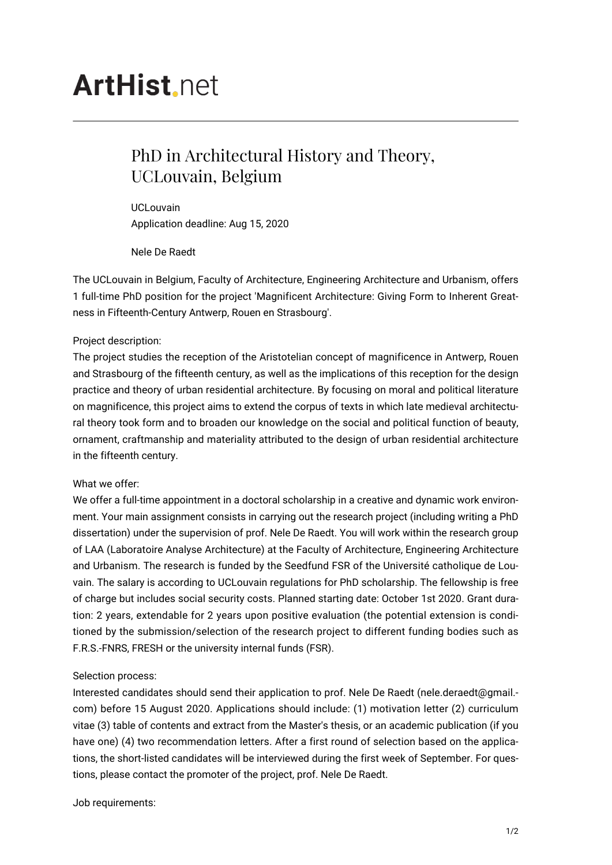# **ArtHist**, net

## PhD in Architectural History and Theory, UCLouvain, Belgium

UCLouvain Application deadline: Aug 15, 2020

Nele De Raedt

The UCLouvain in Belgium, Faculty of Architecture, Engineering Architecture and Urbanism, offers 1 full-time PhD position for the project 'Magnificent Architecture: Giving Form to Inherent Greatness in Fifteenth-Century Antwerp, Rouen en Strasbourg'.

### Project description:

The project studies the reception of the Aristotelian concept of magnificence in Antwerp, Rouen and Strasbourg of the fifteenth century, as well as the implications of this reception for the design practice and theory of urban residential architecture. By focusing on moral and political literature on magnificence, this project aims to extend the corpus of texts in which late medieval architectural theory took form and to broaden our knowledge on the social and political function of beauty, ornament, craftmanship and materiality attributed to the design of urban residential architecture in the fifteenth century.

### What we offer:

We offer a full-time appointment in a doctoral scholarship in a creative and dynamic work environment. Your main assignment consists in carrying out the research project (including writing a PhD dissertation) under the supervision of prof. Nele De Raedt. You will work within the research group of LAA (Laboratoire Analyse Architecture) at the Faculty of Architecture, Engineering Architecture and Urbanism. The research is funded by the Seedfund FSR of the Université catholique de Louvain. The salary is according to UCLouvain regulations for PhD scholarship. The fellowship is free of charge but includes social security costs. Planned starting date: October 1st 2020. Grant duration: 2 years, extendable for 2 years upon positive evaluation (the potential extension is conditioned by the submission/selection of the research project to different funding bodies such as F.R.S.-FNRS, FRESH or the university internal funds (FSR).

### Selection process:

Interested candidates should send their application to prof. Nele De Raedt (nele.deraedt@gmail. com) before 15 August 2020. Applications should include: (1) motivation letter (2) curriculum vitae (3) table of contents and extract from the Master's thesis, or an academic publication (if you have one) (4) two recommendation letters. After a first round of selection based on the applications, the short-listed candidates will be interviewed during the first week of September. For questions, please contact the promoter of the project, prof. Nele De Raedt.

Job requirements: